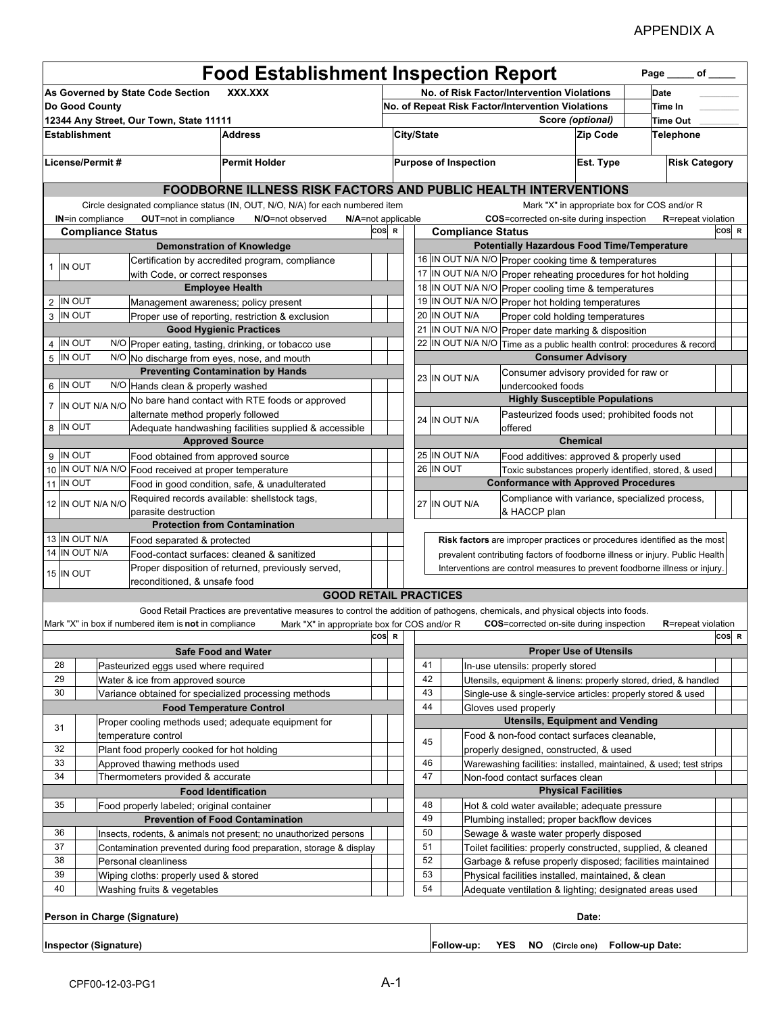## APPENDIX A

| <b>Food Establishment Inspection Report</b><br>Page _____ of _____ |                                                                                                    |                                                       |                                                                                                                                   |  |                                                                |                                                               |            |                   |                                                                                                                                                            |                               |                 |                            |       |  |
|--------------------------------------------------------------------|----------------------------------------------------------------------------------------------------|-------------------------------------------------------|-----------------------------------------------------------------------------------------------------------------------------------|--|----------------------------------------------------------------|---------------------------------------------------------------|------------|-------------------|------------------------------------------------------------------------------------------------------------------------------------------------------------|-------------------------------|-----------------|----------------------------|-------|--|
|                                                                    | As Governed by State Code Section<br>XXX.XXX<br>No. of Risk Factor/Intervention Violations<br>Date |                                                       |                                                                                                                                   |  |                                                                |                                                               |            |                   |                                                                                                                                                            |                               |                 |                            |       |  |
| Do Good County                                                     |                                                                                                    |                                                       |                                                                                                                                   |  |                                                                | No. of Repeat Risk Factor/Intervention Violations             |            |                   |                                                                                                                                                            |                               |                 | Time In                    |       |  |
|                                                                    |                                                                                                    | 12344 Any Street, Our Town, State 11111               |                                                                                                                                   |  | Score (optional)                                               |                                                               |            |                   |                                                                                                                                                            |                               | <b>Time Out</b> |                            |       |  |
|                                                                    | <b>Address</b><br><b>Establishment</b>                                                             |                                                       |                                                                                                                                   |  | City/State                                                     |                                                               |            |                   | <b>Zip Code</b>                                                                                                                                            |                               | Telephone       |                            |       |  |
|                                                                    |                                                                                                    |                                                       |                                                                                                                                   |  |                                                                |                                                               |            |                   |                                                                                                                                                            |                               |                 |                            |       |  |
| License/Permit#<br><b>Permit Holder</b>                            |                                                                                                    |                                                       |                                                                                                                                   |  | <b>Purpose of Inspection</b><br>Est. Type                      |                                                               |            |                   | <b>Risk Category</b>                                                                                                                                       |                               |                 |                            |       |  |
|                                                                    |                                                                                                    |                                                       |                                                                                                                                   |  | FOODBORNE ILLNESS RISK FACTORS AND PUBLIC HEALTH INTERVENTIONS |                                                               |            |                   |                                                                                                                                                            |                               |                 |                            |       |  |
|                                                                    |                                                                                                    |                                                       | Circle designated compliance status (IN, OUT, N/O, N/A) for each numbered item                                                    |  |                                                                |                                                               |            |                   | Mark "X" in appropriate box for COS and/or R                                                                                                               |                               |                 |                            |       |  |
|                                                                    | <b>IN=in compliance</b>                                                                            | <b>OUT=not in compliance</b>                          | N/O=not observed                                                                                                                  |  |                                                                | COS=corrected on-site during inspection<br>N/A=not applicable |            |                   |                                                                                                                                                            |                               |                 | <b>R</b> =repeat violation |       |  |
|                                                                    | <b>Compliance Status</b>                                                                           |                                                       |                                                                                                                                   |  | COS R                                                          | <b>Compliance Status</b>                                      |            |                   |                                                                                                                                                            |                               |                 |                            | COS R |  |
|                                                                    |                                                                                                    |                                                       | <b>Demonstration of Knowledge</b>                                                                                                 |  |                                                                |                                                               |            |                   | <b>Potentially Hazardous Food Time/Temperature</b>                                                                                                         |                               |                 |                            |       |  |
| 1 IN OUT                                                           |                                                                                                    |                                                       | Certification by accredited program, compliance                                                                                   |  |                                                                |                                                               |            |                   | 16 IN OUT N/A N/O Proper cooking time & temperatures                                                                                                       |                               |                 |                            |       |  |
|                                                                    |                                                                                                    | with Code, or correct responses                       |                                                                                                                                   |  |                                                                |                                                               |            |                   | 17 IN OUT N/A N/O Proper reheating procedures for hot holding                                                                                              |                               |                 |                            |       |  |
|                                                                    |                                                                                                    |                                                       | <b>Employee Health</b>                                                                                                            |  |                                                                |                                                               |            |                   | 18 IN OUT N/A N/O Proper cooling time & temperatures                                                                                                       |                               |                 |                            |       |  |
| 2 IN OUT                                                           |                                                                                                    | Management awareness; policy present                  |                                                                                                                                   |  |                                                                |                                                               |            |                   | 19 IN OUT N/A N/O Proper hot holding temperatures                                                                                                          |                               |                 |                            |       |  |
| 3 IN OUT                                                           |                                                                                                    |                                                       | Proper use of reporting, restriction & exclusion                                                                                  |  |                                                                |                                                               |            | 20 IN OUT N/A     | Proper cold holding temperatures                                                                                                                           |                               |                 |                            |       |  |
|                                                                    |                                                                                                    |                                                       | <b>Good Hygienic Practices</b>                                                                                                    |  |                                                                |                                                               |            |                   | 21 IN OUT N/A N/O Proper date marking & disposition                                                                                                        |                               |                 |                            |       |  |
| 4 IN OUT                                                           |                                                                                                    |                                                       | N/O Proper eating, tasting, drinking, or tobacco use                                                                              |  |                                                                |                                                               |            | 22 IN OUT N/A N/O | Time as a public health control: procedures & record                                                                                                       |                               |                 |                            |       |  |
| 5 IN OUT                                                           |                                                                                                    |                                                       | N/O No discharge from eyes, nose, and mouth                                                                                       |  |                                                                |                                                               |            |                   |                                                                                                                                                            | <b>Consumer Advisory</b>      |                 |                            |       |  |
|                                                                    |                                                                                                    |                                                       | <b>Preventing Contamination by Hands</b>                                                                                          |  |                                                                |                                                               |            | 23 IN OUT N/A     | Consumer advisory provided for raw or                                                                                                                      |                               |                 |                            |       |  |
| 6 IN OUT                                                           |                                                                                                    | N/O Hands clean & properly washed                     |                                                                                                                                   |  |                                                                |                                                               |            |                   | undercooked foods                                                                                                                                          |                               |                 |                            |       |  |
|                                                                    | 7 IN OUT N/A N/O                                                                                   |                                                       | No bare hand contact with RTE foods or approved                                                                                   |  |                                                                |                                                               |            |                   | <b>Highly Susceptible Populations</b>                                                                                                                      |                               |                 |                            |       |  |
|                                                                    |                                                                                                    | alternate method properly followed                    |                                                                                                                                   |  |                                                                |                                                               |            | 24 IN OUT N/A     | Pasteurized foods used; prohibited foods not                                                                                                               |                               |                 |                            |       |  |
| 8 IN OUT                                                           |                                                                                                    |                                                       | Adequate handwashing facilities supplied & accessible                                                                             |  |                                                                |                                                               |            |                   | offered                                                                                                                                                    |                               |                 |                            |       |  |
|                                                                    |                                                                                                    |                                                       | <b>Approved Source</b>                                                                                                            |  |                                                                |                                                               |            |                   |                                                                                                                                                            | <b>Chemical</b>               |                 |                            |       |  |
| 9 IN OUT                                                           |                                                                                                    | Food obtained from approved source                    |                                                                                                                                   |  |                                                                |                                                               |            | 25 IN OUT N/A     | Food additives: approved & properly used                                                                                                                   |                               |                 |                            |       |  |
|                                                                    |                                                                                                    | 10 IN OUT N/A N/O Food received at proper temperature |                                                                                                                                   |  |                                                                |                                                               |            | 26 IN OUT         | Toxic substances properly identified, stored, & used                                                                                                       |                               |                 |                            |       |  |
| 11 IN OUT                                                          |                                                                                                    |                                                       | Food in good condition, safe, & unadulterated                                                                                     |  |                                                                |                                                               |            |                   | <b>Conformance with Approved Procedures</b>                                                                                                                |                               |                 |                            |       |  |
|                                                                    | 12 IN OUT N/A N/O                                                                                  |                                                       | Required records available: shellstock tags,                                                                                      |  |                                                                |                                                               |            | 27 IN OUT N/A     | Compliance with variance, specialized process,                                                                                                             |                               |                 |                            |       |  |
|                                                                    |                                                                                                    | parasite destruction                                  | <b>Protection from Contamination</b>                                                                                              |  |                                                                |                                                               |            |                   | & HACCP plan                                                                                                                                               |                               |                 |                            |       |  |
| 13 IN OUT N/A                                                      |                                                                                                    |                                                       |                                                                                                                                   |  |                                                                |                                                               |            |                   |                                                                                                                                                            |                               |                 |                            |       |  |
| 14 IN OUT N/A                                                      |                                                                                                    | Food separated & protected                            | Food-contact surfaces: cleaned & sanitized                                                                                        |  |                                                                |                                                               |            |                   | Risk factors are improper practices or procedures identified as the most                                                                                   |                               |                 |                            |       |  |
|                                                                    |                                                                                                    |                                                       | Proper disposition of returned, previously served,                                                                                |  |                                                                |                                                               |            |                   | prevalent contributing factors of foodborne illness or injury. Public Health<br>Interventions are control measures to prevent foodborne illness or injury. |                               |                 |                            |       |  |
| 15 IN OUT                                                          |                                                                                                    | reconditioned, & unsafe food                          |                                                                                                                                   |  |                                                                |                                                               |            |                   |                                                                                                                                                            |                               |                 |                            |       |  |
|                                                                    |                                                                                                    |                                                       | <b>GOOD RETAIL PRACTICES</b>                                                                                                      |  |                                                                |                                                               |            |                   |                                                                                                                                                            |                               |                 |                            |       |  |
|                                                                    |                                                                                                    |                                                       | Good Retail Practices are preventative measures to control the addition of pathogens, chemicals, and physical objects into foods. |  |                                                                |                                                               |            |                   |                                                                                                                                                            |                               |                 |                            |       |  |
|                                                                    |                                                                                                    | Mark "X" in box if numbered item is not in compliance | Mark "X" in appropriate box for COS and/or R                                                                                      |  |                                                                |                                                               |            |                   | <b>COS</b> =corrected on-site during inspection                                                                                                            |                               |                 | <b>R</b> =repeat violation |       |  |
|                                                                    |                                                                                                    |                                                       |                                                                                                                                   |  | ∣COS∣R                                                         |                                                               |            |                   |                                                                                                                                                            |                               |                 |                            | COS R |  |
|                                                                    |                                                                                                    |                                                       | <b>Safe Food and Water</b>                                                                                                        |  |                                                                |                                                               |            |                   |                                                                                                                                                            | <b>Proper Use of Utensils</b> |                 |                            |       |  |
| 28                                                                 |                                                                                                    | Pasteurized eggs used where required                  |                                                                                                                                   |  |                                                                |                                                               | 41         |                   | In-use utensils: properly stored                                                                                                                           |                               |                 |                            |       |  |
| 29                                                                 |                                                                                                    | Water & ice from approved source                      |                                                                                                                                   |  |                                                                |                                                               | 42         |                   | Utensils, equipment & linens: properly stored, dried, & handled                                                                                            |                               |                 |                            |       |  |
| 30                                                                 |                                                                                                    |                                                       | Variance obtained for specialized processing methods                                                                              |  |                                                                |                                                               | 43         |                   | Single-use & single-service articles: properly stored & used                                                                                               |                               |                 |                            |       |  |
|                                                                    |                                                                                                    |                                                       | <b>Food Temperature Control</b>                                                                                                   |  |                                                                |                                                               | 44         |                   | Gloves used properly                                                                                                                                       |                               |                 |                            |       |  |
|                                                                    |                                                                                                    |                                                       | Proper cooling methods used; adequate equipment for                                                                               |  |                                                                |                                                               |            |                   | <b>Utensils, Equipment and Vending</b>                                                                                                                     |                               |                 |                            |       |  |
| 31                                                                 |                                                                                                    | temperature control                                   |                                                                                                                                   |  |                                                                |                                                               |            |                   | Food & non-food contact surfaces cleanable,                                                                                                                |                               |                 |                            |       |  |
| 32                                                                 |                                                                                                    | Plant food properly cooked for hot holding            |                                                                                                                                   |  |                                                                |                                                               | 45         |                   | properly designed, constructed, & used                                                                                                                     |                               |                 |                            |       |  |
| 33                                                                 |                                                                                                    | Approved thawing methods used                         |                                                                                                                                   |  |                                                                |                                                               | 46         |                   | Warewashing facilities: installed, maintained, & used; test strips                                                                                         |                               |                 |                            |       |  |
| 34                                                                 |                                                                                                    | Thermometers provided & accurate                      |                                                                                                                                   |  |                                                                |                                                               | 47         |                   | Non-food contact surfaces clean                                                                                                                            |                               |                 |                            |       |  |
| <b>Food Identification</b>                                         |                                                                                                    |                                                       |                                                                                                                                   |  |                                                                | <b>Physical Facilities</b>                                    |            |                   |                                                                                                                                                            |                               |                 |                            |       |  |
| 35<br>Food properly labeled; original container                    |                                                                                                    |                                                       |                                                                                                                                   |  |                                                                | 48<br>Hot & cold water available; adequate pressure           |            |                   |                                                                                                                                                            |                               |                 |                            |       |  |
|                                                                    |                                                                                                    |                                                       | <b>Prevention of Food Contamination</b>                                                                                           |  |                                                                |                                                               | 49         |                   | Plumbing installed; proper backflow devices                                                                                                                |                               |                 |                            |       |  |
| 36                                                                 |                                                                                                    |                                                       | Insects, rodents, & animals not present; no unauthorized persons                                                                  |  |                                                                |                                                               | 50         |                   | Sewage & waste water properly disposed                                                                                                                     |                               |                 |                            |       |  |
| 37                                                                 |                                                                                                    |                                                       | Contamination prevented during food preparation, storage & display                                                                |  |                                                                |                                                               | 51         |                   | Toilet facilities: properly constructed, supplied, & cleaned                                                                                               |                               |                 |                            |       |  |
| 38                                                                 |                                                                                                    | Personal cleanliness                                  |                                                                                                                                   |  |                                                                |                                                               | 52         |                   | Garbage & refuse properly disposed; facilities maintained                                                                                                  |                               |                 |                            |       |  |
| 39                                                                 |                                                                                                    | Wiping cloths: properly used & stored                 |                                                                                                                                   |  |                                                                |                                                               | 53         |                   | Physical facilities installed, maintained, & clean                                                                                                         |                               |                 |                            |       |  |
| 40                                                                 |                                                                                                    | Washing fruits & vegetables                           |                                                                                                                                   |  |                                                                |                                                               | 54         |                   | Adequate ventilation & lighting; designated areas used                                                                                                     |                               |                 |                            |       |  |
|                                                                    |                                                                                                    |                                                       |                                                                                                                                   |  |                                                                |                                                               |            |                   |                                                                                                                                                            |                               |                 |                            |       |  |
|                                                                    |                                                                                                    | Person in Charge (Signature)                          |                                                                                                                                   |  |                                                                |                                                               |            |                   |                                                                                                                                                            | Date:                         |                 |                            |       |  |
|                                                                    | Inspector (Signature)                                                                              |                                                       |                                                                                                                                   |  |                                                                |                                                               | Follow-up: | <b>YES</b><br>NO. | (Circle one)                                                                                                                                               | Follow-up Date:               |                 |                            |       |  |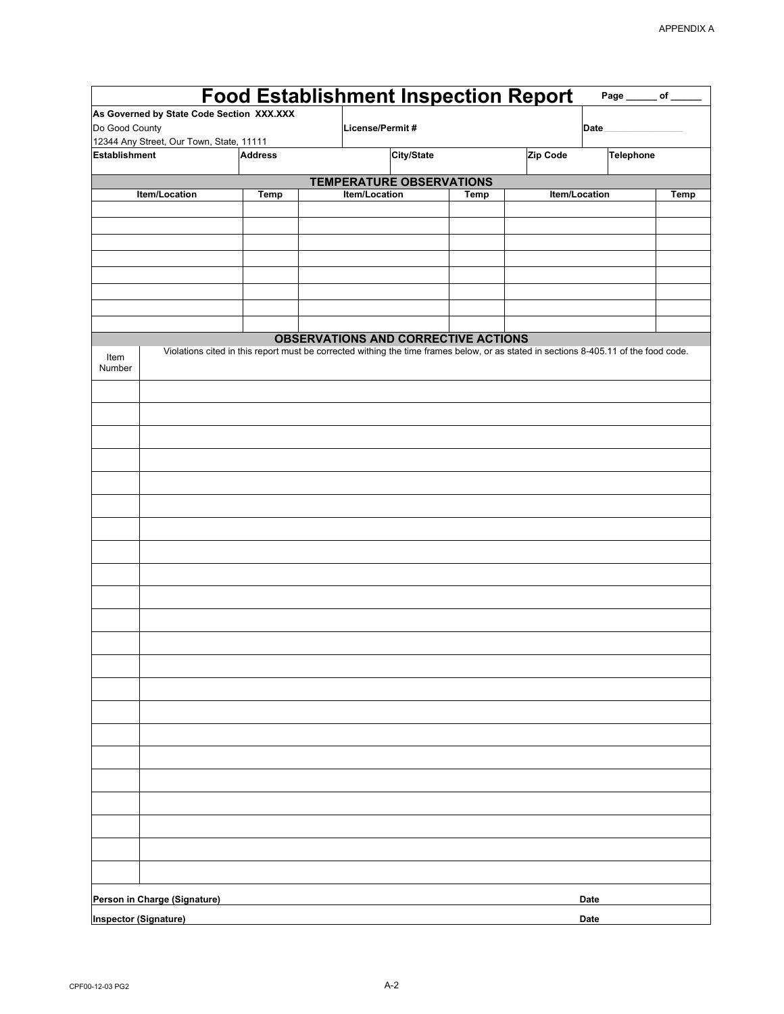|                                           |                | <b>Food Establishment Inspection Report</b>                                                                                          |             |               | Page _______ of ______ |      |
|-------------------------------------------|----------------|--------------------------------------------------------------------------------------------------------------------------------------|-------------|---------------|------------------------|------|
| As Governed by State Code Section XXX.XXX |                |                                                                                                                                      |             |               |                        |      |
| Do Good County                            |                | License/Permit#                                                                                                                      |             |               | Date                   |      |
| 12344 Any Street, Our Town, State, 11111  |                |                                                                                                                                      |             |               |                        |      |
| <b>Establishment</b>                      | <b>Address</b> | City/State                                                                                                                           |             | Zip Code      | <b>Telephone</b>       |      |
|                                           |                | <b>TEMPERATURE OBSERVATIONS</b>                                                                                                      |             |               |                        |      |
| Item/Location                             | Temp           | Item/Location                                                                                                                        | <b>Temp</b> | Item/Location |                        | Temp |
|                                           |                |                                                                                                                                      |             |               |                        |      |
|                                           |                |                                                                                                                                      |             |               |                        |      |
|                                           |                |                                                                                                                                      |             |               |                        |      |
|                                           |                |                                                                                                                                      |             |               |                        |      |
|                                           |                |                                                                                                                                      |             |               |                        |      |
|                                           |                |                                                                                                                                      |             |               |                        |      |
|                                           |                |                                                                                                                                      |             |               |                        |      |
|                                           |                | <b>OBSERVATIONS AND CORRECTIVE ACTIONS</b>                                                                                           |             |               |                        |      |
|                                           |                | Violations cited in this report must be corrected withing the time frames below, or as stated in sections 8-405.11 of the food code. |             |               |                        |      |
| Item<br>Number                            |                |                                                                                                                                      |             |               |                        |      |
|                                           |                |                                                                                                                                      |             |               |                        |      |
|                                           |                |                                                                                                                                      |             |               |                        |      |
|                                           |                |                                                                                                                                      |             |               |                        |      |
|                                           |                |                                                                                                                                      |             |               |                        |      |
|                                           |                |                                                                                                                                      |             |               |                        |      |
|                                           |                |                                                                                                                                      |             |               |                        |      |
|                                           |                |                                                                                                                                      |             |               |                        |      |
|                                           |                |                                                                                                                                      |             |               |                        |      |
|                                           |                |                                                                                                                                      |             |               |                        |      |
|                                           |                |                                                                                                                                      |             |               |                        |      |
|                                           |                |                                                                                                                                      |             |               |                        |      |
|                                           |                |                                                                                                                                      |             |               |                        |      |
|                                           |                |                                                                                                                                      |             |               |                        |      |
|                                           |                |                                                                                                                                      |             |               |                        |      |
|                                           |                |                                                                                                                                      |             |               |                        |      |
|                                           |                |                                                                                                                                      |             |               |                        |      |
|                                           |                |                                                                                                                                      |             |               |                        |      |
|                                           |                |                                                                                                                                      |             |               |                        |      |
|                                           |                |                                                                                                                                      |             |               |                        |      |
|                                           |                |                                                                                                                                      |             |               |                        |      |
|                                           |                |                                                                                                                                      |             |               |                        |      |
|                                           |                |                                                                                                                                      |             |               |                        |      |
|                                           |                |                                                                                                                                      |             |               |                        |      |
|                                           |                |                                                                                                                                      |             |               |                        |      |
|                                           |                |                                                                                                                                      |             |               |                        |      |
|                                           |                |                                                                                                                                      |             |               |                        |      |
|                                           |                |                                                                                                                                      |             |               |                        |      |
|                                           |                |                                                                                                                                      |             |               |                        |      |
|                                           |                |                                                                                                                                      |             |               |                        |      |
|                                           |                |                                                                                                                                      |             |               |                        |      |
|                                           |                |                                                                                                                                      |             |               |                        |      |
| Person in Charge (Signature)              |                |                                                                                                                                      |             | Date          |                        |      |
| <b>Inspector (Signature)</b>              |                |                                                                                                                                      |             | Date          |                        |      |